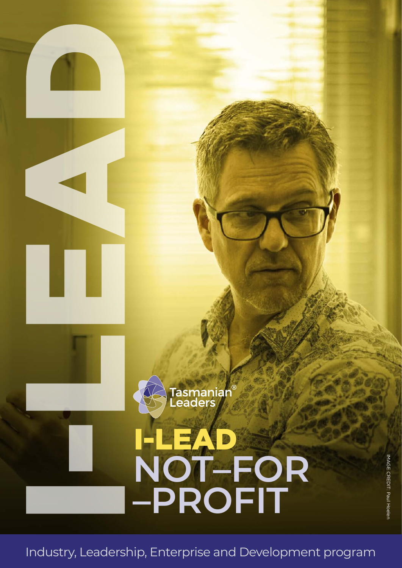

Industry, Leadership, Enterprise and Development program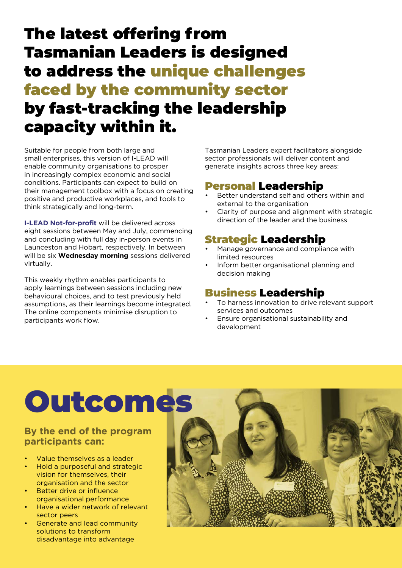### The latest offering from Tasmanian Leaders is designed to address the unique challenges faced by the community sector by fast-tracking the leadership capacity within it.

Suitable for people from both large and small enterprises, this version of I-LEAD will enable community organisations to prosper in increasingly complex economic and social conditions. Participants can expect to build on their management toolbox with a focus on creating positive and productive workplaces, and tools to think strategically and long-term.

**I-LEAD Not-for-profit** will be delivered across eight sessions between May and July, commencing and concluding with full day in-person events in Launceston and Hobart, respectively. In between will be six **Wednesday morning** sessions delivered virtually.

This weekly rhythm enables participants to apply learnings between sessions including new behavioural choices, and to test previously held assumptions, as their learnings become integrated. The online components minimise disruption to participants work flow.

Tasmanian Leaders expert facilitators alongside sector professionals will deliver content and generate insights across three key areas:

### Personal Leadership

- Better understand self and others within and external to the organisation
- Clarity of purpose and alignment with strategic direction of the leader and the business

### Strategic Leadership

- Manage governance and compliance with limited resources
- Inform better organisational planning and decision making

### Business Leadership

- To harness innovation to drive relevant support services and outcomes
- Ensure organisational sustainability and development

# Outcomes

#### **By the end of the program participants can:**

- Value themselves as a leader
- Hold a purposeful and strategic vision for themselves, their organisation and the sector
- Better drive or influence organisational performance
- Have a wider network of relevant sector peers
- Generate and lead community solutions to transform disadvantage into advantage

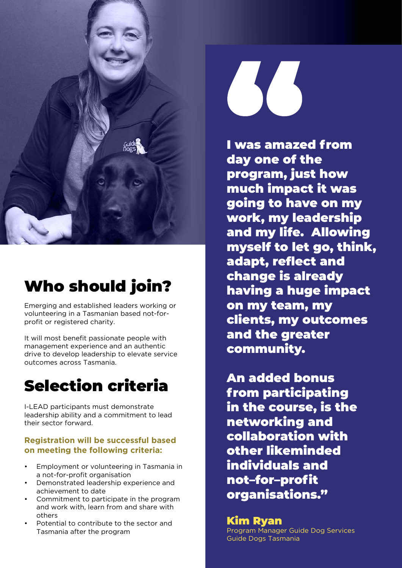

# Who should join?

Emerging and established leaders working or volunteering in a Tasmanian based not-forprofit or registered charity.

It will most benefit passionate people with management experience and an authentic drive to develop leadership to elevate service outcomes across Tasmania.

### Selection criteria

I-LEAD participants must demonstrate leadership ability and a commitment to lead their sector forward.

#### **Registration will be successful based on meeting the following criteria:**

- Employment or volunteering in Tasmania in a not-for-profit organisation
- Demonstrated leadership experience and achievement to date
- Commitment to participate in the program and work with, learn from and share with others
- Potential to contribute to the sector and Tasmania after the program



I was amazed from day one of the program, just how much impact it was going to have on my work, my leadership and my life. Allowing myself to let go, think, adapt, reflect and change is already having a huge impact on my team, my clients, my outcomes and the greater community.

An added bonus from participating in the course, is the networking and collaboration with other likeminded individuals and not–for–profit organisations."

#### Kim Ryan

Program Manager Guide Dog Services Guide Dogs Tasmania